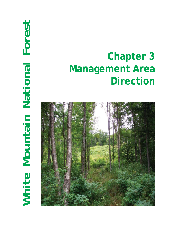# White Mountain National Forest **White Mountain National Forest**

# **Chapter 3 Management Area Direction**

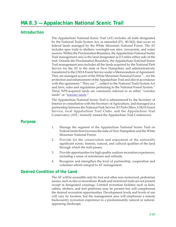# **MA 8.3 — Appalachian National Scenic Trail**

# **Introduction**

The Appalachian National Scenic Trail (AT) includes all trails designated by the National Trails System Act, as amended (P.L. 90-543), that occur on federal lands managed by the White Mountain National Forest. The AT includes spur trails to shelters, overnight-use sites, viewpoints, and water sources. Within the Proclamation Boundary, the Appalachian National Scenic Trail management area is the land designated as 0.5 miles either side of the trail. Outside the Proclamation Boundary, the Appalachian National Scenic Trail management area includes all the lands acquired by the National Park Service for the AT in the state of New Hampshire and administratively transferred to the USDA Forest Service under a Memorandum of Agreement. They are managed as part of the White Mountain National Forest "... for the protection and enhancement of the Appalachian Trail and also in accordance with this agreement." They are "... subject to the National Trails System Act and laws, rules and regulations pertaining to the National Forest System." These NPS-acquired lands are commonly referred to as either "corridor lands" or "transfer lands."

The Appalachian National Scenic Trail is administered by the Secretary of Interior in consultation with the Secretary of Agriculture, and managed as a partnership between the National Park Service AT Park Office, USDA Forest Service, local Appalachian Trail Clubs, and the Appalachian Trail Conservancy (ATC, formerly named the Appalachian Trail Conference).

# **Purpose**

- 1. Manage the segment of the Appalachian National Scenic Trail on Federal lands that traverses the state of New Hampshire and the White Mountain National Forest.
- 2. Provide for the conservation and enjoyment of the nationally significant scenic, historic, natural, and cultural qualities of the land through which the trail passes.
- 3. Provide opportunities for high quality outdoor recreation experiences, including a sense of remoteness and solitude.
- 4. Recognize and strengthen the level of partnership, cooperation and volunteer efforts integral to AT management.

# **Desired Condition of the Land**

The AT will be accessible only by foot and other non-motorized, pedestrian means, such as skis or snowshoes. Roads and motorized trails are not present except at designated crossings. Limited recreation facilities such as huts, cabins, shelters, and tent platforms may be present but will complement the desired recreation opportunities. Development levels and levels of use will vary by location, but the management area will emphasize a remote backcountry recreation experience in a predominantly natural or naturalappearing landscape.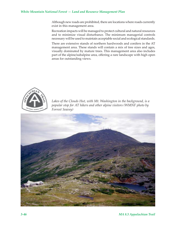### *White Mountain National Forest — Land and Resource Management Plan*

Although new roads are prohibited, there are locations where roads currently exist in this management area.

Recreation impacts will be managed to protect cultural and natural resources and to minimize visual disturbance. The minimum managerial controls necessary will be used to maintain acceptable social and ecological standards.

There are extensive stands of northern hardwoods and conifers in the AT management area. These stands will contain a mix of tree sizes and ages, visually dominated by mature trees. This management area also includes part of the alpine/subalpine area, offering a rare landscape with high open areas for outstanding views.



*Lakes of the Clouds Hut, with Mt. Washington in the background, is a popular stop for AT hikers and other alpine visitors (WMNF photo by Forrest Seavey)*

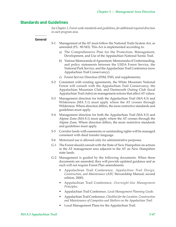# **Standards and Guidelines**

*See Chapter 2, Forest-wide standards and guidelines, for additional required direction in each program area.*

### **General**

- S-1 Management of the AT must follow the National Trails System Act, as amended (P.L. 90-543). This Act is implemented according to:
	- a) The Comprehensive Plan for the Protection, Management, Development, and Use of the Appalachian National Scenic Trail.
	- b) Various Memoranda of Agreement, Memoranda of Understanding, and policy statements between the USDA Forest Service, the National Park Service, and the Appalachian Trail Conference (now Appalachian Trail Conservancy).
	- c) Forest Service Direction (FSM, FSH, and supplements).
- S-2 Consistent with existing agreements, the White Mountain National Forest will consult with the Appalachian Trail Conservancy, the Appalachian Mountain Club, and Dartmouth Outing Club (local Appalachian Trail clubs) on management actions that affect AT values.
- S-3 Management direction for both the Appalachian Trail (MA 8.3) and Wilderness (MA 5.1) must apply where the AT crosses through Wilderness. Where direction differs, the more restrictive standards and guidelines must apply.
- S-4 Management direction for both the Appalachian Trail (MA 8.3) and Alpine Zone (MA 8.1) must apply where the AT crosses through the Alpine Zone. Where direction differs, the more restrictive standards and guidelines must apply.
- S-5 Corridor lands with easements or outstanding rights will be managed consistent with deed transfer language.
- S-6 Motorized use is allowed only for administrative purposes.
- G-1 The Forest should consult with the State of New Hampshire on actions in the AT management area adjacent to the AT on New Hampshire state lands.
- G-2 Management is guided by the following documents. When these documents are amended, they will provide updated guidance and as such will not require Forest Plan amendments.
	- Appalachian Trail Conference. *Appalachian Trail Design, Construction, and Maintenance* (ATC Stewardship Manual, second edition, 2000).
	- Appalachian Trail Conference. *Overnight-Use Management Principles.*
	- Appalachian Trail Conference. *Local Management Planning Guide.*
	- Appalachian Trail Conference. *Checklist for the Location, Construction and Maintenance of Campsites and Shelters on the Appalachian Trail*.
	- Local Management Plans for the Appalachian Trail.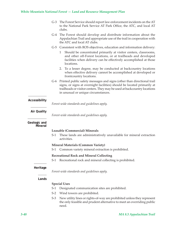# *White Mountain National Forest — Land and Resource Management Plan*

|                         | $G-3$                                           | The Forest Service should report law enforcement incidents on the AT<br>to the National Park Service AT Park Office, the ATC, and local AT<br>clubs.                                                                                                                     |  |  |
|-------------------------|-------------------------------------------------|--------------------------------------------------------------------------------------------------------------------------------------------------------------------------------------------------------------------------------------------------------------------------|--|--|
|                         |                                                 | G-4 The Forest should develop and distribute information about the<br>Appalachian Trail and appropriate use of the trail in cooperation with<br>the ATC and local AT clubs.                                                                                              |  |  |
|                         |                                                 | G-5 Consistent with ROS objectives, education and information delivery:                                                                                                                                                                                                  |  |  |
|                         |                                                 | Should be concentrated primarily at visitor centers, classrooms,<br>1<br>and other off-Forest locations, or at trailheads and developed<br>facilities when delivery can be effectively accomplished at those<br>locations.                                               |  |  |
|                         |                                                 | To a lesser degree, may be conducted at backcountry locations<br>2.<br>when effective delivery cannot be accomplished at developed or<br>frontcountry locations.                                                                                                         |  |  |
|                         |                                                 | G-6 Printed public safety messages and signs (other than directional trail<br>signs, or signs at overnight facilities) should be located primarily at<br>trailheads or visitor centers. They may be used at backcountry locations<br>in unusual or unique circumstances. |  |  |
| Accessibility           |                                                 | Forest-wide standards and guidelines apply.                                                                                                                                                                                                                              |  |  |
| <b>Air Quality</b>      | Forest-wide standards and guidelines apply.     |                                                                                                                                                                                                                                                                          |  |  |
| Geologic and<br>Mineral |                                                 |                                                                                                                                                                                                                                                                          |  |  |
|                         | <b>Leasable (Commercial) Minerals</b>           |                                                                                                                                                                                                                                                                          |  |  |
|                         | S-1                                             | These lands are administratively unavailable for mineral extraction<br>activities.                                                                                                                                                                                       |  |  |
|                         | <b>Mineral Materials (Common Variety)</b>       |                                                                                                                                                                                                                                                                          |  |  |
|                         | $S-1$                                           | Common variety mineral extraction is prohibited.                                                                                                                                                                                                                         |  |  |
|                         | <b>Recreational Rock and Mineral Collecting</b> |                                                                                                                                                                                                                                                                          |  |  |
|                         | $S-1$                                           | Recreational rock and mineral collecting is prohibited.                                                                                                                                                                                                                  |  |  |
| Heritage                |                                                 | Forest-wide standards and guidelines apply.                                                                                                                                                                                                                              |  |  |
|                         |                                                 |                                                                                                                                                                                                                                                                          |  |  |
| Lands                   |                                                 |                                                                                                                                                                                                                                                                          |  |  |
|                         |                                                 | <b>Special Uses</b>                                                                                                                                                                                                                                                      |  |  |
|                         | $S-1$                                           | Designated communication sites are prohibited.                                                                                                                                                                                                                           |  |  |
|                         | $S-2$                                           | Wind towers are prohibited.                                                                                                                                                                                                                                              |  |  |
|                         | $S-3$                                           | New utility lines or rights-of-way are prohibited unless they represent<br>the only feasible and prudent alternative to meet an overriding public<br>need.                                                                                                               |  |  |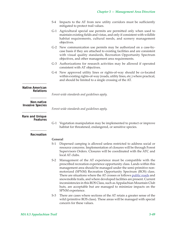- S-4 Impacts to the AT from new utility corridors must be sufficiently mitigated to protect trail values.
- G-1 Agricultural special use permits are permitted only when used to maintain existing fields and vistas, and only if consistent with wildlife habitat requirements, cultural needs, and scenery management objectives.
- G-2 New communication use permits may be authorized on a case-bycase basis if they are attached to existing facilities and are consistent with visual quality standards, Recreation Opportunity Spectrum objectives, and other management area requirements.
- G-3 Authorizations for research activities may be allowed if operated consistent with AT objectives.
- G-4 New approved utility lines or rights-of-way should be co-located within existing rights-of-way (roads, utility lines, etc.) where practical, and should be limited to a single crossing of the AT.

### **Native American Relations**

*Forest-wide standards and guidelines apply.*

*Forest-wide standards and guidelines apply.*

### **Non-native Invasive Species**

**Rare and Unique Features**

- 
- G-1 Vegetation manipulation may be implemented to protect or improve habitat for threatened, endangered, or sensitive species.

### **Recreation**

### **General**

- S-1 Dispersed camping is allowed unless restricted to address social or resource concerns. Implementation of closures will be through Forest Supervisors Orders. Closures will be coordinated with the ATC and local AT clubs.
- S-2 Management of the AT experience must be compatible with the prescribed recreation experience opportunity class. Lands within this management area should be managed under the semi-primitive nonmotorized (SPNM) Recreation Opportunity Spectrum (ROS) class. There are situations where the AT crosses or follows public roads and snowmobile trails, and where developed facilities are present. Current inconsistencies in this ROS Class, such as Appalachian Mountain Club huts, are acceptable but are managed to minimize impacts on the SPNM experience.
- S-3 There are cases where sections of the AT retain a greater sense of the wild (primitive ROS class). These areas will be managed with special concern for these values.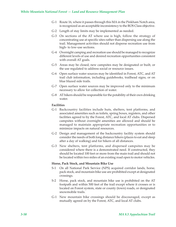- G-1 Route 16, where it passes through this MA in the Pinkham Notch area, is recognized as an acceptable inconsistency to the ROS Class objective.
- G-2 Length of stay limits may be implemented as needed.
- G-3 On sections of the AT where use is high, follow the strategy of concentrating use at specific sites rather than dispersing use along the trail. Management activities should not disperse recreation use from high- to low-use sections.
- G-4 Overnight camping and recreation use should be managed to recognize different levels of use and desired recreation opportunities consistent with overall AT goals.
- G-5 Areas may be closed, new campsites may be designated or built, or the use regulated to address social or resource issues.
- G-6 Open surface water sources may be identified in Forest, ATC, and AT trail club information, including guidebooks, trailhead signs, or on blue blazed side trails.
- G-7 Open surface water sources may be improved only to the minimum necessary to allow for collection of water.
- G-8 AT hikers should be responsible for the potability of their own drinking water.

### **Facilities**

- G-1 Backcountry facilities include huts, shelters, tent platforms, and associated amenities such as toilets, spring boxes, registers, and other facilities agreed to by the Forest, ATC, and local AT clubs. Dispersed campsites without overnight amenities are allowed and should be managed to maintain appropriate recreation opportunities or to minimize impacts on natural resources.
- G-2 Design and management of the backcountry facility system should consider the needs of both long distance hikers (places to eat and sleep after a day of walking) and for hikers of all distances.
- G-3 New shelters, tent platforms, and dispersed campsites may be considered where there is a demonstrated need. If constructed, they should be located 100 feet or more from the main trail and should not be located within two miles of an existing road open to motor vehicles.

### **Horse, Pack Stock, and Mountain Bike Use**

- S-1 On all National Park Service (NPS) acquired corridor lands, horse, pack stock, and mountain bike use are prohibited except at designated crossings.
- S-2 Horse, pack stock, and mountain bike use is prohibited on the AT footpath and within 500 feet of the trail except where it crosses or is located on Forest system, state or county (town) roads, or designated snowmobile trails.
- G-1 New mountain bike crossings should be discouraged, except as mutually agreed on by the Forest, ATC, and local AT clubs.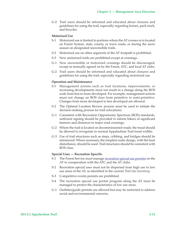G-2 Trail users should be informed and educated about closures and guidelines for using the trail, especially regarding horses, pack stock, and bicycles.

### **Motorized Use**

- S-1 Motorized use is limited to portions where the AT crosses or is located on Forest System, state, county, or town roads, or during the snow season on designated snowmobile trails.
- S-2 Motorized use on other segments of the AT footpath is prohibited.
- S-3 New motorized trails are prohibited except at crossings.
- G-1 New snowmobile or motorized crossings should be discouraged, except as mutually agreed on by the Forest, ATC, and local AT clubs.
- G-2 Trail users should be informed and educated about closures and guidelines for using the trail, especially regarding motorized use.

### **Operation and Maintenance**

- S-1 Management actions such as trail locations, improvements, or increasing developments must not result in a change along the ROS scale from less to more developed. For example, management actions must not change an ROS class from primitive to semi-primitive. Changes from more developed to less developed are allowed.
- S-2 The Optimal Location Review process must be used to initiate the decision-making process for trail relocations.
- G-1 Consistent with Recreation Opportunity Spectrum (ROS) standards, sufficient signing should be provided to inform hikers of significant features and distances to major road crossings.
- G-2 Where the trail is located on decommissioned roads, the tread should be allowed to revegetate to normal Appalachian Trail tread widths.
- G-3 Use of trail structures such as steps, cribbing, and bridges should be minimized. Where necessary, the simplest rustic design, with the least disturbance, should be used. Trail structures should be consistent with ROS class.

### **Special Uses — Recreation Specific**

- S-1 The Forest Service must manage recreation special use permits on the AT in coooperation with the ATC and the AT clubs.
- S-2 Recreation special uses must not be dispersed from high use to low use areas of the AT, as identified in the current *Trail Use Inventory*.
- S-3 Competitive events permits are prohibited.
- S-4 The recreation special use permit program along the AT must be managed to protect the characteristics of low use areas.
- G-1 Outfitter/guide permits are allowed but may be restricted to address social and environmental concerns.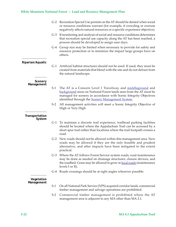# *White Mountain National Forest — Land and Resource Management Plan*

|                          |       | G-2 Recreation Special Use permits on the AT should be denied when social<br>or resource conditions warrant (for example, if crowding or overuse<br>negatively affects natural resources or a specific experience objective).                                        |
|--------------------------|-------|----------------------------------------------------------------------------------------------------------------------------------------------------------------------------------------------------------------------------------------------------------------------|
|                          |       | G-3 If monitoring and analysis of social and resource conditions determines<br>that recreation special use capacity along the AT has been reached, a<br>process should be developed to assign user days.                                                             |
|                          |       | G-4 Group size may be limited when necessary to provide for safety and<br>resource protection or to minimize the impact large groups have on<br>others.                                                                                                              |
| Riparian/Aquatic         | $G-1$ | Artificial habitat structures should not be used. If used, they must be<br>created from materials that blend with the site and do not detract from<br>the natural landscape.                                                                                         |
| Scenery<br>Management    | $S-1$ | The AT is a Concern Level 1 Travelway, and middleground and<br>background areas on National Forest lands seen from the AT must be<br>managed for scenery in accordance with Scenic Integrity Objectives<br>identified through the <b>Scenery Management System</b> . |
|                          | $S-2$ | All management activities will meet a Scenic Integrity Objective of<br>High or Very High.                                                                                                                                                                            |
| Transportation<br>System |       |                                                                                                                                                                                                                                                                      |
|                          |       | G-1 To maintain a discrete trail experience, trailhead parking facilities<br>should be located where the Appalachian Trail can be accessed by a<br>short spur trail rather than locations where the trail footpath crosses a<br>road.                                |
|                          |       | G-2 New roads should not be allowed within this management area. New<br>roads may be allowed if they are the only feasible and prudent<br>alternative, and after impacts have been mitigated to the extent<br>practical.                                             |
|                          |       | G-3 Where the AT follows Forest Service system roads, road maintenance<br>may be done as needed on drainage structures, closure devices, and<br>the roadbed. Grass may be allowed to grow in local roads (maintenance<br>levels I or II).                            |
|                          |       | G-4 Roads crossings should be at right angles wherever possible.                                                                                                                                                                                                     |
| Vegetation<br>Management |       |                                                                                                                                                                                                                                                                      |
|                          | $S-1$ | On all National Park Service (NPS) acquired corridor lands, commercial<br>timber management and salvage operations are prohibited.                                                                                                                                   |
|                          | $S-2$ | Commercial timber management is prohibited where the AT<br>management area is adjacent to any MA other than MA 2.1.                                                                                                                                                  |